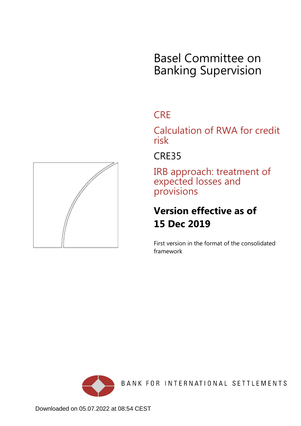# Basel Committee on Banking Supervision

## **CRE**

Calculation of RWA for credit risk

## CRE35

IRB approach: treatment of expected losses and provisions

# **Version effective as of 15 Dec 2019**

First version in the format of the consolidated framework



BANK FOR INTERNATIONAL SETTLEMENTS

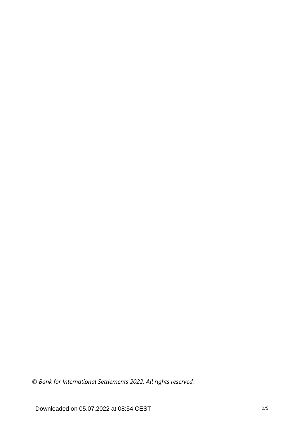*© Bank for International Settlements 2022. All rights reserved.*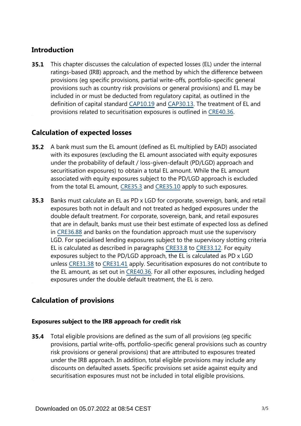### **Introduction**

This chapter discusses the calculation of expected losses (EL) under the internal ratings-based (IRB) approach, and the method by which the difference between provisions (eg specific provisions, partial write-offs, portfolio-specific general provisions such as country risk provisions or general provisions) and EL may be included in or must be deducted from regulatory capital, as outlined in the definition of capital standard [CAP10.19](https://www.bis.org/basel_framework/chapter/CAP/10.htm?tldate=20220112&inforce=20191215&published=20200605#paragraph_CAP_10_20191215_10_19) and [CAP30.13.](https://www.bis.org/basel_framework/chapter/CAP/30.htm?tldate=20220112&inforce=20191215&published=20191215#paragraph_CAP_30_20191215_30_13) The treatment of EL and provisions related to securitisation exposures is outlined in [CRE40.36.](https://www.bis.org/basel_framework/chapter/CRE/40.htm?tldate=20220112&inforce=20191215&published=20191215#paragraph_CRE_40_20191215_40_36) **35.1**

### **Calculation of expected losses**

- A bank must sum the EL amount (defined as EL multiplied by EAD) associated with its exposures (excluding the EL amount associated with equity exposures under the probability of default / loss-given-default (PD/LGD) approach and securitisation exposures) to obtain a total EL amount. While the EL amount associated with equity exposures subject to the PD/LGD approach is excluded from the total EL amount, [CRE35.3](https://www.bis.org/basel_framework/chapter/CRE/35.htm?tldate=20220112&inforce=20191215&published=20191215#paragraph_CRE_35_20191215_35_3) and [CRE35.10](https://www.bis.org/basel_framework/chapter/CRE/35.htm?tldate=20220112&inforce=20191215&published=20191215#paragraph_CRE_35_20191215_35_10) apply to such exposures. **35.2**
- Banks must calculate an EL as PD x LGD for corporate, sovereign, bank, and retail exposures both not in default and not treated as hedged exposures under the double default treatment. For corporate, sovereign, bank, and retail exposures that are in default, banks must use their best estimate of expected loss as defined in [CRE36.88](https://www.bis.org/basel_framework/chapter/CRE/36.htm?tldate=20220112&inforce=20191215&published=20191215#paragraph_CRE_36_20191215_36_88) and banks on the foundation approach must use the supervisory LGD. For specialised lending exposures subject to the supervisory slotting criteria EL is calculated as described in paragraphs [CRE33.8](https://www.bis.org/basel_framework/chapter/CRE/33.htm?tldate=20220112&inforce=20191215&published=20191215#paragraph_CRE_33_20191215_33_8) to [CRE33.12](https://www.bis.org/basel_framework/chapter/CRE/33.htm?tldate=20220112&inforce=20191215&published=20191215#paragraph_CRE_33_20191215_33_12). For equity exposures subject to the PD/LGD approach, the EL is calculated as PD x LGD unless [CRE31.38](https://www.bis.org/basel_framework/chapter/CRE/31.htm?tldate=20220112&inforce=20191215&published=20191215#paragraph_CRE_31_20191215_31_38) to [CRE31.41](https://www.bis.org/basel_framework/chapter/CRE/31.htm?tldate=20220112&inforce=20191215&published=20191215#paragraph_CRE_31_20191215_31_41) apply. Securitisation exposures do not contribute to the EL amount, as set out in [CRE40.36.](https://www.bis.org/basel_framework/chapter/CRE/40.htm?tldate=20220112&inforce=20191215&published=20191215#paragraph_CRE_40_20191215_40_36) For all other exposures, including hedged exposures under the double default treatment, the EL is zero. **35.3**

### **Calculation of provisions**

#### **Exposures subject to the IRB approach for credit risk**

Total eligible provisions are defined as the sum of all provisions (eg specific provisions, partial write-offs, portfolio-specific general provisions such as country risk provisions or general provisions) that are attributed to exposures treated under the IRB approach. In addition, total eligible provisions may include any discounts on defaulted assets. Specific provisions set aside against equity and securitisation exposures must not be included in total eligible provisions. **35.4**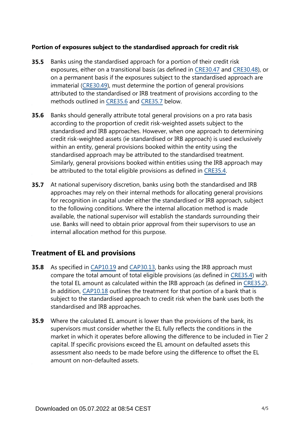#### **Portion of exposures subject to the standardised approach for credit risk**

- Banks using the standardised approach for a portion of their credit risk exposures, either on a transitional basis (as defined in [CRE30.47](https://www.bis.org/basel_framework/chapter/CRE/30.htm?tldate=20220112&inforce=20191215&published=20191215#paragraph_CRE_30_20191215_30_47) and [CRE30.48](https://www.bis.org/basel_framework/chapter/CRE/30.htm?tldate=20220112&inforce=20191215&published=20191215#paragraph_CRE_30_20191215_30_48)), or on a permanent basis if the exposures subject to the standardised approach are immaterial [\(CRE30.49](https://www.bis.org/basel_framework/chapter/CRE/30.htm?tldate=20220112&inforce=20191215&published=20191215#paragraph_CRE_30_20191215_30_49)), must determine the portion of general provisions attributed to the standardised or IRB treatment of provisions according to the methods outlined in [CRE35.6](https://www.bis.org/basel_framework/chapter/CRE/35.htm?tldate=20220112&inforce=20191215&published=20191215#paragraph_CRE_35_20191215_35_6) and [CRE35.7](https://www.bis.org/basel_framework/chapter/CRE/35.htm?tldate=20220112&inforce=20191215&published=20191215#paragraph_CRE_35_20191215_35_7) below. **35.5**
- Banks should generally attribute total general provisions on a pro rata basis according to the proportion of credit risk-weighted assets subject to the standardised and IRB approaches. However, when one approach to determining credit risk-weighted assets (ie standardised or IRB approach) is used exclusively within an entity, general provisions booked within the entity using the standardised approach may be attributed to the standardised treatment. Similarly, general provisions booked within entities using the IRB approach may be attributed to the total eligible provisions as defined in [CRE35.4.](https://www.bis.org/basel_framework/chapter/CRE/35.htm?tldate=20220112&inforce=20191215&published=20191215#paragraph_CRE_35_20191215_35_4) **35.6**
- At national supervisory discretion, banks using both the standardised and IRB approaches may rely on their internal methods for allocating general provisions for recognition in capital under either the standardised or IRB approach, subject to the following conditions. Where the internal allocation method is made available, the national supervisor will establish the standards surrounding their use. Banks will need to obtain prior approval from their supervisors to use an internal allocation method for this purpose. **35.7**

#### **Treatment of EL and provisions**

- As specified in [CAP10.19](https://www.bis.org/basel_framework/chapter/CAP/10.htm?tldate=20220112&inforce=20191215&published=20200605#paragraph_CAP_10_20191215_10_19) and [CAP30.13,](https://www.bis.org/basel_framework/chapter/CAP/30.htm?tldate=20220112&inforce=20191215&published=20191215#paragraph_CAP_30_20191215_30_13) banks using the IRB approach must compare the total amount of total eligible provisions (as defined in [CRE35.4](https://www.bis.org/basel_framework/chapter/CRE/35.htm?tldate=20220112&inforce=20191215&published=20191215#paragraph_CRE_35_20191215_35_4)) with the total EL amount as calculated within the IRB approach (as defined in [CRE35.2\)](https://www.bis.org/basel_framework/chapter/CRE/35.htm?tldate=20220112&inforce=20191215&published=20191215#paragraph_CRE_35_20191215_35_2). In addition, [CAP10.18](https://www.bis.org/basel_framework/chapter/CAP/10.htm?tldate=20220112&inforce=20191215&published=20200605#paragraph_CAP_10_20191215_10_18) outlines the treatment for that portion of a bank that is subject to the standardised approach to credit risk when the bank uses both the standardised and IRB approaches. **35.8**
- Where the calculated EL amount is lower than the provisions of the bank, its **35.9** supervisors must consider whether the EL fully reflects the conditions in the market in which it operates before allowing the difference to be included in Tier 2 capital. If specific provisions exceed the EL amount on defaulted assets this assessment also needs to be made before using the difference to offset the EL amount on non-defaulted assets.